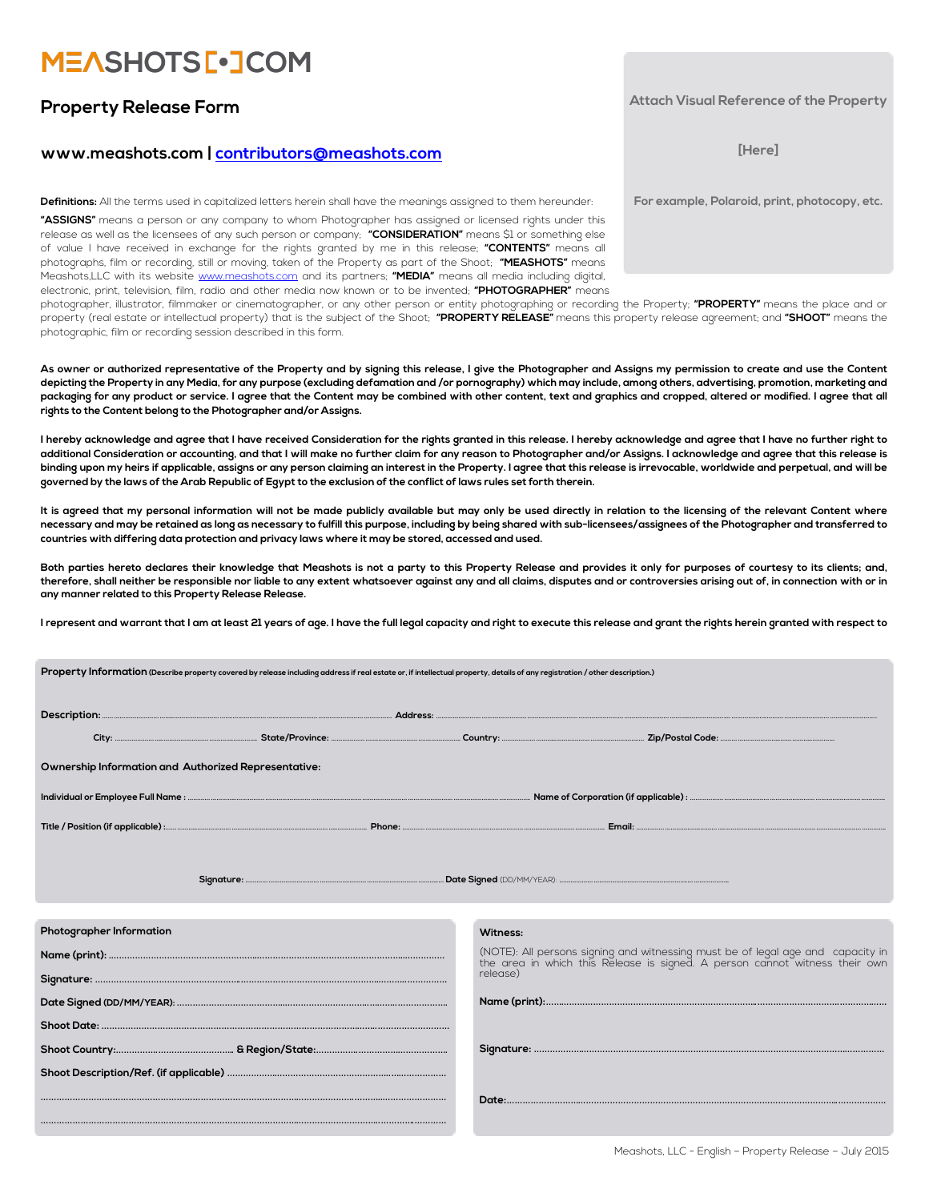# **MEASHOTS[.JCOM**

### **Property Release Form**

### **www.meashots.com | [contributors@meashots.com](mailto:contributors@meashots.com)**

**Definitions:** All the terms used in capitalized letters herein shall have the meanings assigned to them hereunder:

**"ASSIGNS"** means a person or any company to whom Photographer has assigned or licensed rights under this release as well as the licensees of any such person or company; **"CONSIDERATION"** means \$1 or something else of value I have received in exchange for the rights granted by me in this release; **"CONTENTS"** means all photographs, film or recording, still or moving, taken of the Property as part of the Shoot; **"MEASHOTS"** means Meashots,LLC with its website [www.meashots.com](http://www.meashots.com) and its partners; **"MEDIA"** means all media including digital, electronic, print, television, film, radio and other media now known or to be invented; **"PHOTOGRAPHER"** means

**Property Information (Describe property covered by release including address if real estate or, if intellectual property, details of any registration / other description.)**

photographer, illustrator, filmmaker or cinematographer, or any other person or entity photographing or recording the Property; **"PROPERTY"** means the place and or property (real estate or intellectual property) that is the subject of the Shoot; **"PROPERTY RELEASE"** means this property release agreement; and **"SHOOT"** means the photographic, film or recording session described in this form.

**As owner or authorized representative of the Property and by signing this release, I give the Photographer and Assigns my permission to create and use the Content depicting the Property in any Media, for any purpose (excluding defamation and /or pornography) which may include, among others, advertising, promotion, marketing and packaging for any product or service. I agree that the Content may be combined with other content, text and graphics and cropped, altered or modified. I agree that all rights to the Content belong to the Photographer and/or Assigns.** 

**I hereby acknowledge and agree that I have received Consideration for the rights granted in this release. I hereby acknowledge and agree that I have no further right to additional Consideration or accounting, and that I will make no further claim for any reason to Photographer and/or Assigns. I acknowledge and agree that this release is binding upon my heirs if applicable, assigns or any person claiming an interest in the Property. I agree that this release is irrevocable, worldwide and perpetual, and will be governed by the laws of the Arab Republic of Egypt to the exclusion of the conflict of laws rules set forth therein.** 

**It is agreed that my personal information will not be made publicly available but may only be used directly in relation to the licensing of the relevant Content where necessary and may be retained as long as necessary to fulfill this purpose, including by being shared with sub-licensees/assignees of the Photographer and transferred to countries with differing data protection and privacy laws where it may be stored, accessed and used.** 

**Both parties hereto declares their knowledge that Meashots is not a party to this Property Release and provides it only for purposes of courtesy to its clients; and, therefore, shall neither be responsible nor liable to any extent whatsoever against any and all claims, disputes and or controversies arising out of, in connection with or in any manner related to this Property Release Release.**

**I represent and warrant that I am at least 21 years of age. I have the full legal capacity and right to execute this release and grant the rights herein granted with respect to** 

| Ownership Information and Authorized Representative: |                                                                                                                                                             |  |
|------------------------------------------------------|-------------------------------------------------------------------------------------------------------------------------------------------------------------|--|
|                                                      |                                                                                                                                                             |  |
|                                                      |                                                                                                                                                             |  |
|                                                      |                                                                                                                                                             |  |
| Photographer Information                             | Witness:                                                                                                                                                    |  |
|                                                      | (NOTE): All persons signing and witnessing must be of legal age and capacity in the area in which this Release is signed. A person cannot witness their own |  |
|                                                      | release)                                                                                                                                                    |  |
|                                                      |                                                                                                                                                             |  |
|                                                      |                                                                                                                                                             |  |
|                                                      |                                                                                                                                                             |  |
|                                                      |                                                                                                                                                             |  |
|                                                      |                                                                                                                                                             |  |
|                                                      |                                                                                                                                                             |  |

#### **Attach Visual Reference of the Property**

**[Here]** 

**For example, Polaroid, print, photocopy, etc.**